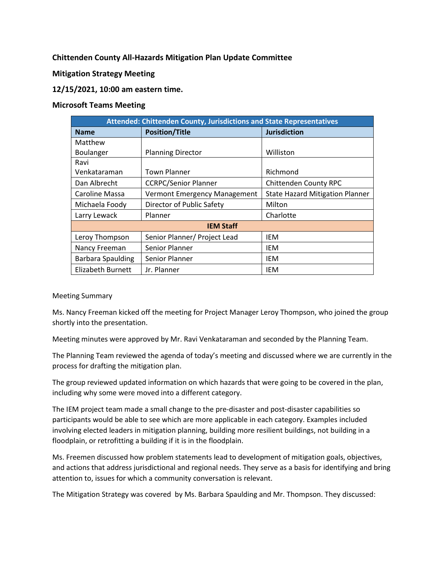**Chittenden County All-Hazards Mitigation Plan Update Committee**

**Mitigation Strategy Meeting** 

## **12/15/2021, 10:00 am eastern time.**

## **Microsoft Teams Meeting**

| <b>Attended: Chittenden County, Jurisdictions and State Representatives</b> |                              |                                        |
|-----------------------------------------------------------------------------|------------------------------|----------------------------------------|
| <b>Name</b>                                                                 | <b>Position/Title</b>        | <b>Jurisdiction</b>                    |
| Matthew                                                                     |                              |                                        |
| Boulanger                                                                   | <b>Planning Director</b>     | Williston                              |
| Ravi                                                                        |                              |                                        |
| Venkataraman                                                                | <b>Town Planner</b>          | Richmond                               |
| Dan Albrecht                                                                | <b>CCRPC/Senior Planner</b>  | <b>Chittenden County RPC</b>           |
| Caroline Massa                                                              | Vermont Emergency Management | <b>State Hazard Mitigation Planner</b> |
| Michaela Foody                                                              | Director of Public Safety    | Milton                                 |
| Larry Lewack                                                                | Planner                      | Charlotte                              |
| <b>IEM Staff</b>                                                            |                              |                                        |
| Leroy Thompson                                                              | Senior Planner/ Project Lead | IEM                                    |
| Nancy Freeman                                                               | Senior Planner               | IEM                                    |
| <b>Barbara Spaulding</b>                                                    | Senior Planner               | IEM                                    |
| Elizabeth Burnett                                                           | Jr. Planner                  | IEM                                    |

## Meeting Summary

Ms. Nancy Freeman kicked off the meeting for Project Manager Leroy Thompson, who joined the group shortly into the presentation.

Meeting minutes were approved by Mr. Ravi Venkataraman and seconded by the Planning Team.

The Planning Team reviewed the agenda of today's meeting and discussed where we are currently in the process for drafting the mitigation plan.

The group reviewed updated information on which hazards that were going to be covered in the plan, including why some were moved into a different category.

The IEM project team made a small change to the pre-disaster and post-disaster capabilities so participants would be able to see which are more applicable in each category. Examples included involving elected leaders in mitigation planning, building more resilient buildings, not building in a floodplain, or retrofitting a building if it is in the floodplain.

Ms. Freemen discussed how problem statements lead to development of mitigation goals, objectives, and actions that address jurisdictional and regional needs. They serve as a basis for identifying and bring attention to, issues for which a community conversation is relevant.

The Mitigation Strategy was covered by Ms. Barbara Spaulding and Mr. Thompson. They discussed: